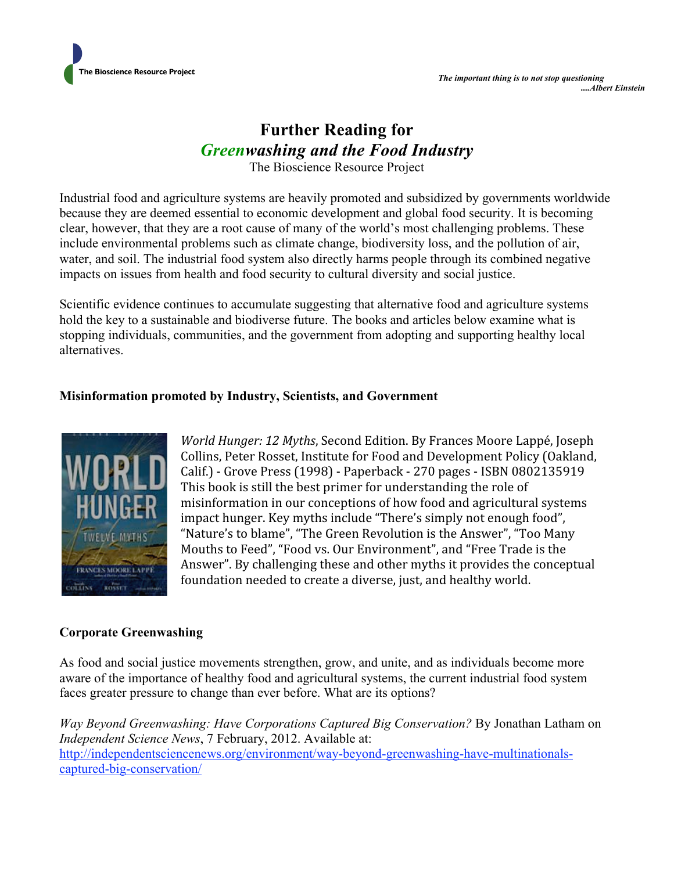

# **Further Reading for**  *Greenwashing and the Food Industry*

The Bioscience Resource Project

Industrial food and agriculture systems are heavily promoted and subsidized by governments worldwide because they are deemed essential to economic development and global food security. It is becoming clear, however, that they are a root cause of many of the world's most challenging problems. These include environmental problems such as climate change, biodiversity loss, and the pollution of air, water, and soil. The industrial food system also directly harms people through its combined negative impacts on issues from health and food security to cultural diversity and social justice.

Scientific evidence continues to accumulate suggesting that alternative food and agriculture systems hold the key to a sustainable and biodiverse future. The books and articles below examine what is stopping individuals, communities, and the government from adopting and supporting healthy local alternatives.

### **Misinformation promoted by Industry, Scientists, and Government**



*World Hunger: 12 Myths*, Second Edition. By Frances Moore Lappé, Joseph Collins, Peter Rosset, Institute for Food and Development Policy (Oakland, Calif.) ‐ Grove Press (1998) ‐ Paperback ‐ 270 pages ‐ ISBN 0802135919 This book is still the best primer for understanding the role of misinformation in our conceptions of how food and agricultural systems impact hunger. Key myths include "There's simply not enough food", "Nature's to blame", "The Green Revolution is the Answer", "Too Many Mouths to Feed", "Food vs. Our Environment", and "Free Trade is the Answer". By challenging these and other myths it provides the conceptual foundation needed to create a diverse, just, and healthy world.

## **Corporate Greenwashing**

As food and social justice movements strengthen, grow, and unite, and as individuals become more aware of the importance of healthy food and agricultural systems, the current industrial food system faces greater pressure to change than ever before. What are its options?

*Way Beyond Greenwashing: Have Corporations Captured Big Conservation?* By Jonathan Latham on *Independent Science News*, 7 February, 2012. Available at: http://independentsciencenews.org/environment/way-beyond-greenwashing-have-multinationalscaptured-big-conservation/